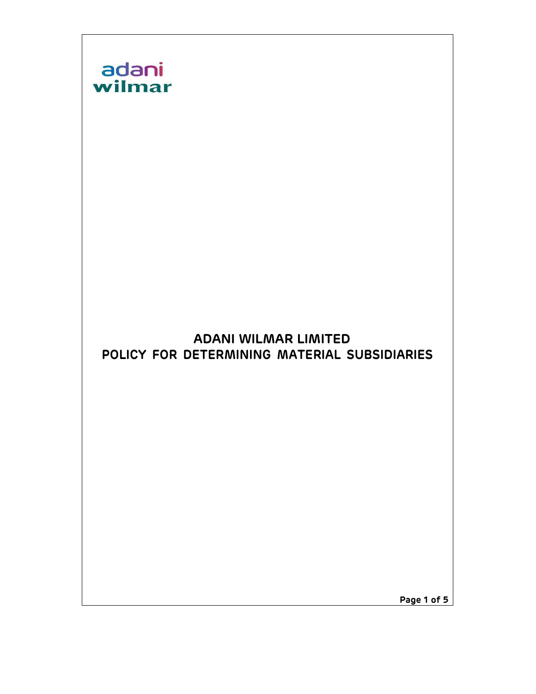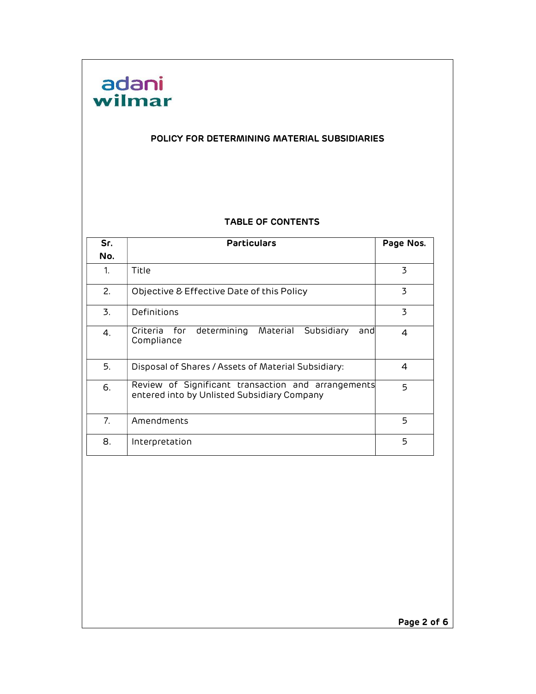

#### POLICY FOR DETERMINING MATERIAL SUBSIDIARIES

#### TABLE OF CONTENTS

| Sr. | <b>Particulars</b>                                                                                | Page Nos.      |
|-----|---------------------------------------------------------------------------------------------------|----------------|
| No. |                                                                                                   |                |
| 1.  | Title                                                                                             | 3              |
| 2.  | Objective & Effective Date of this Policy                                                         | 3              |
| 3.  | Definitions                                                                                       | 3              |
| 4.  | for<br>determining<br>Material<br>Subsidiary<br>Criteria<br>andl<br>Compliance                    | $\overline{a}$ |
| 5.  | Disposal of Shares / Assets of Material Subsidiary:                                               | 4              |
| 6.  | Review of Significant transaction and arrangements<br>entered into by Unlisted Subsidiary Company | 5              |
| 7.  | Amendments                                                                                        | 5              |
| 8.  | Interpretation                                                                                    | 5              |

Page 2 of 6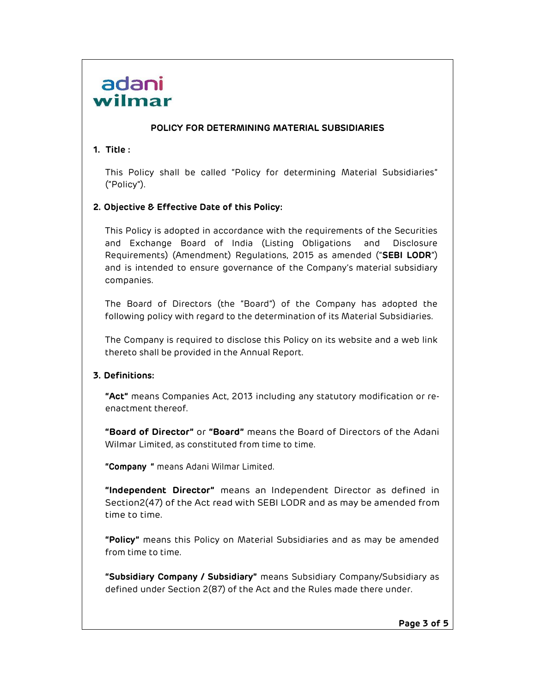# adani wilmar

#### POLICY FOR DETERMINING MATERIAL SUBSIDIARIES

## 1. Title :

This Policy shall be called "Policy for determining Material Subsidiaries" ("Policy").

### 2. Objective & Effective Date of this Policy:

This Policy is adopted in accordance with the requirements of the Securities and Exchange Board of India (Listing Obligations and Disclosure Requirements) (Amendment) Regulations, 2015 as amended ("SEBI LODR") and is intended to ensure governance of the Company's material subsidiary companies.

The Board of Directors (the "Board") of the Company has adopted the following policy with regard to the determination of its Material Subsidiaries.

The Company is required to disclose this Policy on its website and a web link thereto shall be provided in the Annual Report.

# 3. Definitions:

"Act" means Companies Act, 2013 including any statutory modification or reenactment thereof.

"Board of Director" or "Board" means the Board of Directors of the Adani Wilmar Limited, as constituted from time to time.

"Company " means Adani Wilmar Limited.

"Independent Director" means an Independent Director as defined in Section 2(47) of the Act read with SEBI LODR and as may be amended from time to time.

"Policy" means this Policy on Material Subsidiaries and as may be amended from time to time.

"Subsidiary Company / Subsidiary" means Subsidiary Company/Subsidiary as defined under Section 2(87) of the Act and the Rules made there under.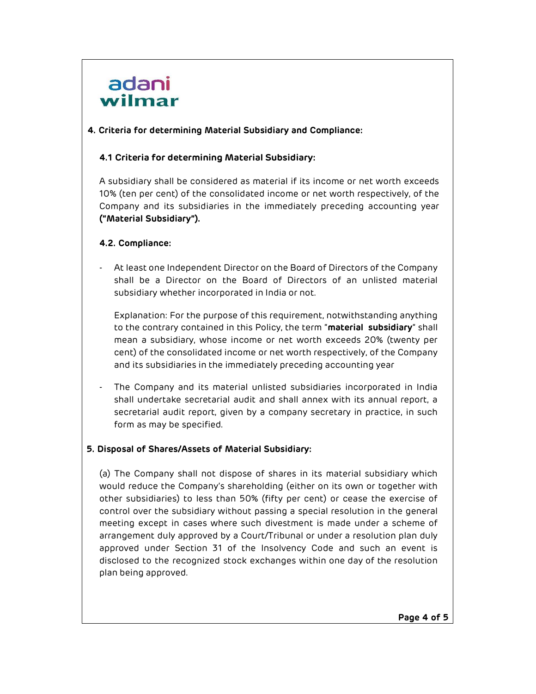# adani wilmar

### 4. Criteria for determining Material Subsidiary and Compliance:

## 4.1 Criteria for determining Material Subsidiary:

A subsidiary shall be considered as material if its income or net worth exceeds 10% (ten per cent) of the consolidated income or net worth respectively, of the Company and its subsidiaries in the immediately preceding accounting year ("Material Subsidiary").

### 4.2. Compliance:

- At least one Independent Director on the Board of Directors of the Company shall be a Director on the Board of Directors of an unlisted material subsidiary whether incorporated in India or not.

Explanation: For the purpose of this requirement, notwithstanding anything to the contrary contained in this Policy, the term "material subsidiary" shall mean a subsidiary, whose income or net worth exceeds 20% (twenty per cent) of the consolidated income or net worth respectively, of the Company and its subsidiaries in the immediately preceding accounting year

The Company and its material unlisted subsidiaries incorporated in India shall undertake secretarial audit and shall annex with its annual report, a secretarial audit report, given by a company secretary in practice, in such form as may be specified.

# 5. Disposal of Shares/Assets of Material Subsidiary:

(a) The Company shall not dispose of shares in its material subsidiary which would reduce the Company's shareholding (either on its own or together with other subsidiaries) to less than 50% (fifty per cent) or cease the exercise of control over the subsidiary without passing a special resolution in the general meeting except in cases where such divestment is made under a scheme of arrangement duly approved by a Court/Tribunal or under a resolution plan duly approved under Section 31 of the Insolvency Code and such an event is disclosed to the recognized stock exchanges within one day of the resolution plan being approved.